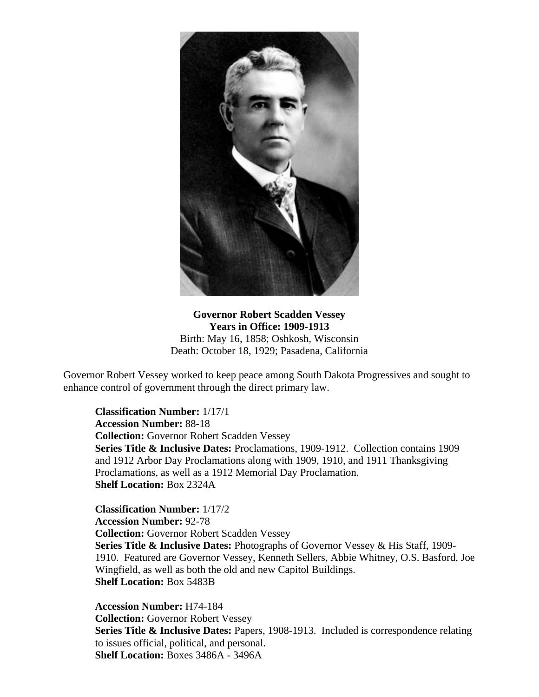

**Governor Robert Scadden Vessey Years in Office: 1909-1913** Birth: May 16, 1858; Oshkosh, Wisconsin Death: October 18, 1929; Pasadena, California

Governor Robert Vessey worked to keep peace among South Dakota Progressives and sought to enhance control of government through the direct primary law.

**Classification Number:** 1/17/1 **Accession Number:** 88-18 **Collection:** Governor Robert Scadden Vessey **Series Title & Inclusive Dates:** Proclamations, 1909-1912. Collection contains 1909 and 1912 Arbor Day Proclamations along with 1909, 1910, and 1911 Thanksgiving Proclamations, as well as a 1912 Memorial Day Proclamation. **Shelf Location:** Box 2324A

**Classification Number:** 1/17/2 **Accession Number:** 92-78 **Collection:** Governor Robert Scadden Vessey **Series Title & Inclusive Dates:** Photographs of Governor Vessey & His Staff, 1909- 1910. Featured are Governor Vessey, Kenneth Sellers, Abbie Whitney, O.S. Basford, Joe Wingfield, as well as both the old and new Capitol Buildings. **Shelf Location:** Box 5483B

**Accession Number:** H74-184 **Collection:** Governor Robert Vessey **Series Title & Inclusive Dates:** Papers, 1908-1913. Included is correspondence relating to issues official, political, and personal. **Shelf Location:** Boxes 3486A - 3496A